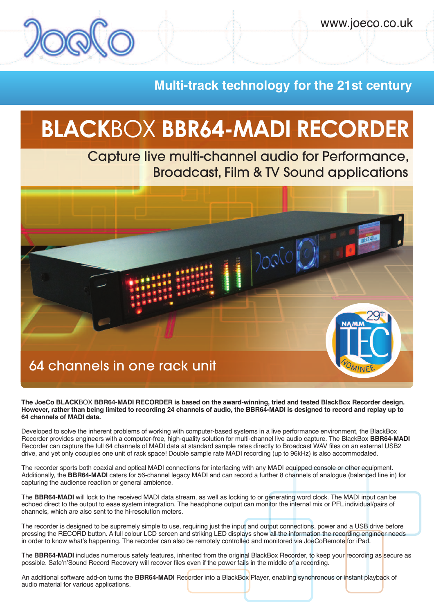## **Multi-track technology for the 21st century**

# **BLACK**BOX **BBR64-MADI RECORDER**

Capture live multi-channel audio for Performance, Broadcast, Film & TV Sound applications



**The JoeCo BLACK**BOX **BBR64-MADI RECORDER is based on the award-winning, tried and tested BlackBox Recorder design.** However, rather than being limited to recording 24 channels of audio, the BBR64-MADI is designed to record and replay up to **64 channels of MADI data.**

Developed to solve the inherent problems of working with computer-based systems in a live performance environment, the BlackBox Recorder provides engineers with a computer-free, high-quality solution for multi-channel live audio capture. The BlackBox **BBR64-MADI** Recorder can capture the full 64 channels of MADI data at standard sample rates directly to Broadcast WAV files on an external USB2 drive, and yet only occupies one unit of rack space! Double sample rate MADI recording (up to 96kHz) is also accommodated.

The recorder sports both coaxial and optical MADI connections for interfacing with any MADI equipped console or other equipment. Additionally, the **BBR64-MADI** caters for 56-channel legacy MADI and can record a further 8 channels of analogue (balanced line in) for capturing the audience reaction or general ambience.

The **BBR64-MADI** will lock to the received MADI data stream, as well as locking to or generating word clock. The MADI input can be echoed direct to the output to ease system integration. The headphone output can monitor the internal mix or PFL individual/pairs of channels, which are also sent to the hi-resolution meters.

The recorder is designed to be supremely simple to use, requiring just the input and output connections, power and a USB drive before pressing the RECORD button. A full colour LCD screen and striking LED displays show all the information the recording engineer needs in order to know what's happening. The recorder can also be remotely controlled and monitored via JoeCoRemote for iPad.

The **BBR64-MADI** includes numerous safety features, inherited from the original BlackBox Recorder, to keep your recording as secure as possible. Safe'n'Sound Record Recovery will recover files even if the power fails in the middle of a recording.

An additional software add-on turns the **BBR64-MADI** Recorder into a BlackBox Player, enabling synchronous or instant playback of audio material for various applications.